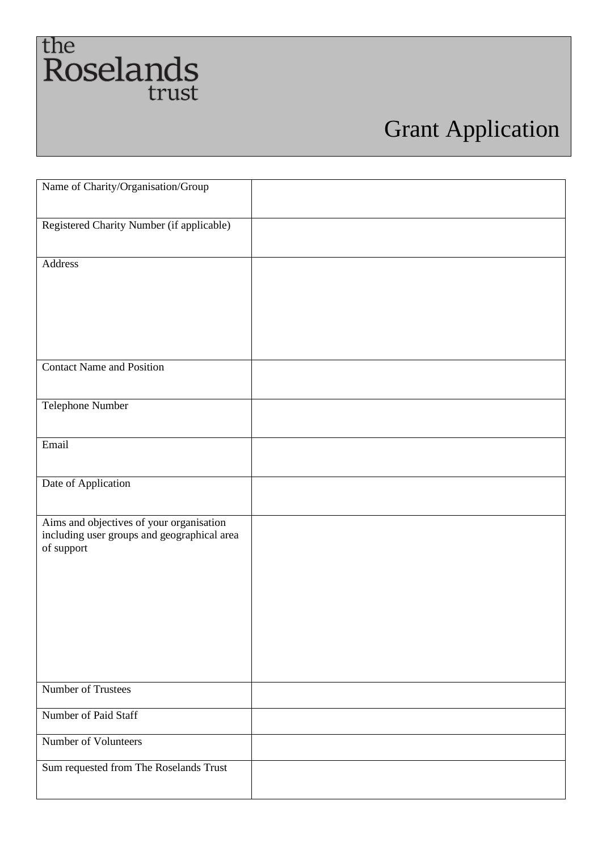## the Roselands<br>trust

## Grant Application

| Name of Charity/Organisation/Group                                                                    |  |
|-------------------------------------------------------------------------------------------------------|--|
| Registered Charity Number (if applicable)                                                             |  |
| Address                                                                                               |  |
| <b>Contact Name and Position</b>                                                                      |  |
| Telephone Number                                                                                      |  |
| Email                                                                                                 |  |
| Date of Application                                                                                   |  |
| Aims and objectives of your organisation<br>including user groups and geographical area<br>of support |  |
| Number of Trustees                                                                                    |  |
| Number of Paid Staff                                                                                  |  |
| Number of Volunteers                                                                                  |  |
| Sum requested from The Roselands Trust                                                                |  |